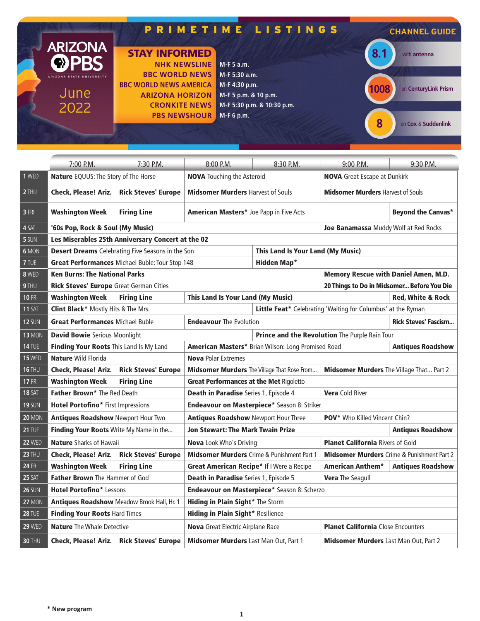|                               | PRIMETIME LISTINGS                                      |                                          |      | <b>CHANNEL GUIDE</b> |  |
|-------------------------------|---------------------------------------------------------|------------------------------------------|------|----------------------|--|
| <b>ARIZONA</b><br><b>OPBS</b> | <b>STAY INFORMED</b><br><b>NHK NEWSLINE</b>             | M-F 5 a.m.                               | 8.1  | with antenna         |  |
| ARIZONA STATE UNIVERSITY      | <b>BBC WORLD NEWS</b>                                   | M-F 5:30 a.m.                            |      |                      |  |
| June                          | <b>BBC WORLD NEWS AMERICA</b><br><b>ARIZONA HORIZON</b> | M-F 4:30 p.m.<br>M-F 5 p.m. & 10 p.m.    | 1008 | on CenturyLink Prism |  |
| 2022                          | <b>CRONKITE NEWS</b><br><b>PBS NEWSHOUR</b>             | M-F 5:30 p.m. & 10:30 p.m.<br>M-F 6 p.m. |      |                      |  |
|                               |                                                         |                                          |      | on Cox & Suddenlink  |  |

|               | 7:00 P.M.                                      | 7:30 P.M.                                                | 8:00 P.M.                                                    | 8:30 P.M.                                          | 9:00 P.M.                                         | 9:30 P.M.                                |  |  |
|---------------|------------------------------------------------|----------------------------------------------------------|--------------------------------------------------------------|----------------------------------------------------|---------------------------------------------------|------------------------------------------|--|--|
| 1 WED         | Nature EQUUS: The Story of The Horse           |                                                          | <b>NOVA</b> Touching the Asteroid                            |                                                    | <b>NOVA</b> Great Escape at Dunkirk               |                                          |  |  |
| 2 THU         | <b>Check, Please! Ariz.</b>                    | <b>Rick Steves' Europe</b>                               | <b>Midsomer Murders Harvest of Souls</b>                     |                                                    |                                                   | <b>Midsomer Murders Harvest of Souls</b> |  |  |
| 3 FRI         | <b>Washington Week</b>                         | <b>Firing Line</b>                                       | American Masters* Joe Papp in Five Acts                      |                                                    |                                                   | <b>Beyond the Canvas*</b>                |  |  |
| 4 SAT         | '60s Pop, Rock & Soul (My Music)               |                                                          |                                                              | Joe Banamassa Muddy Wolf at Red Rocks              |                                                   |                                          |  |  |
| 5 SUN         |                                                | Les Miserables 25th Anniversary Concert at the 02        |                                                              |                                                    |                                                   |                                          |  |  |
| 6 MON         |                                                | <b>Desert Dreams</b> Celebrating Five Seasons in the Son | <b>This Land Is Your Land (My Music)</b>                     |                                                    |                                                   |                                          |  |  |
| 7 TUE         |                                                | <b>Great Performances Michael Buble: Tour Stop 148</b>   |                                                              | <b>Hidden Map*</b>                                 |                                                   |                                          |  |  |
| 8 WED         | <b>Ken Burns: The National Parks</b>           |                                                          |                                                              |                                                    | <b>Memory Rescue with Daniel Amen, M.D.</b>       |                                          |  |  |
| 9 THU         | <b>Rick Steves' Europe Great German Cities</b> |                                                          |                                                              | 20 Things to Do in Midsomer Before You Die         |                                                   |                                          |  |  |
| <b>10 FRI</b> | <b>Washington Week</b>                         | <b>Firing Line</b>                                       |                                                              | <b>This Land Is Your Land (My Music)</b>           |                                                   | <b>Red. White &amp; Rock</b>             |  |  |
| <b>11 SAT</b> | <b>Clint Black* Mostly Hits &amp; The Mrs.</b> |                                                          | Little Feat* Celebrating 'Waiting for Columbus' at the Ryman |                                                    |                                                   |                                          |  |  |
| <b>12 SUN</b> | <b>Great Performances Michael Buble</b>        |                                                          | <b>Endeavour The Evolution</b>                               |                                                    |                                                   | <b>Rick Steves' Fascism</b>              |  |  |
| <b>13 MON</b> | <b>David Bowie</b> Serious Moonlight           |                                                          | Prince and the Revolution The Purple Rain Tour               |                                                    |                                                   |                                          |  |  |
| <b>14 TUE</b> | Finding Your Roots This Land Is My Land        |                                                          |                                                              | American Masters* Brian Wilson: Long Promised Road | <b>Antiques Roadshow</b>                          |                                          |  |  |
| <b>15 WED</b> | <b>Nature Wild Florida</b>                     |                                                          | <b>Nova Polar Extremes</b>                                   |                                                    |                                                   |                                          |  |  |
| <b>16 THU</b> | <b>Check, Please! Ariz.</b>                    | <b>Rick Steves' Europe</b>                               | Midsomer Murders The Village That Rose From                  |                                                    | Midsomer Murders The Village That Part 2          |                                          |  |  |
| <b>17 FRI</b> | <b>Washington Week</b>                         | <b>Firing Line</b>                                       | <b>Great Performances at the Met Rigoletto</b>               |                                                    |                                                   |                                          |  |  |
| <b>18 SAT</b> | Father Brown* The Red Death                    |                                                          | Death in Paradise Series 1, Episode 4                        |                                                    | <b>Vera</b> Cold River                            |                                          |  |  |
| <b>19 SUN</b> | <b>Hotel Portofino* First Impressions</b>      | Endeavour on Masterpiece* Season 8: Striker              |                                                              |                                                    |                                                   |                                          |  |  |
| <b>20 MON</b> |                                                | <b>Antiques Roadshow Newport Hour Two</b>                |                                                              | <b>Antiques Roadshow Newport Hour Three</b>        |                                                   | <b>POV*</b> Who Killed Vincent Chin?     |  |  |
| <b>21 TUE</b> | Finding Your Roots Write My Name in the        |                                                          | <b>Jon Stewart: The Mark Twain Prize</b>                     |                                                    |                                                   | <b>Antiques Roadshow</b>                 |  |  |
| <b>22 WED</b> | <b>Nature Sharks of Hawaii</b>                 |                                                          | <b>Nova</b> Look Who's Driving                               |                                                    | <b>Planet California Rivers of Gold</b>           |                                          |  |  |
| <b>23 THU</b> | <b>Check, Please! Ariz.</b>                    | <b>Rick Steves' Europe</b>                               | <b>Midsomer Murders</b> Crime & Punishment Part 1            |                                                    | <b>Midsomer Murders</b> Crime & Punishment Part 2 |                                          |  |  |
| <b>24 FRI</b> | <b>Washington Week</b>                         | <b>Firing Line</b>                                       | <b>Great American Recipe* If I Were a Recipe</b>             |                                                    | <b>American Anthem*</b>                           | <b>Antiques Roadshow</b>                 |  |  |
| <b>25 SAT</b> | Father Brown The Hammer of God                 |                                                          | Death in Paradise Series 1, Episode 5                        |                                                    | <b>Vera</b> The Seagull                           |                                          |  |  |
| <b>26 SUN</b> | <b>Hotel Portofino*</b> Lessons                |                                                          | Endeavour on Masterpiece* Season 8: Scherzo                  |                                                    |                                                   |                                          |  |  |
| <b>27 MON</b> | Antiques Roadshow Meadow Brook Hall, Hr. 1     |                                                          | <b>Hiding in Plain Sight* The Storm</b>                      |                                                    |                                                   |                                          |  |  |
| <b>28 TUE</b> | <b>Finding Your Roots Hard Times</b>           |                                                          | <b>Hiding in Plain Sight* Resilience</b>                     |                                                    |                                                   |                                          |  |  |
| <b>29 WED</b> | <b>Nature</b> The Whale Detective              |                                                          | <b>Nova</b> Great Electric Airplane Race                     |                                                    | <b>Planet California</b> Close Encounters         |                                          |  |  |
| <b>30 THU</b> | Check, Please! Ariz.   Rick Steves' Europe     |                                                          | <b>Midsomer Murders</b> Last Man Out, Part 1                 |                                                    | <b>Midsomer Murders Last Man Out, Part 2</b>      |                                          |  |  |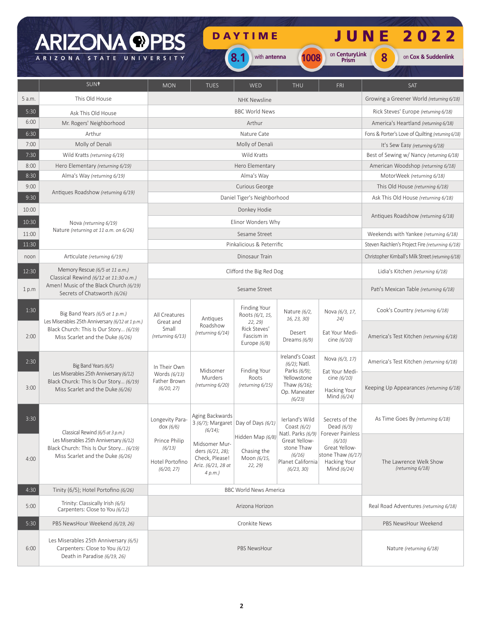DAYTIME

## JUNE 2022

**8.1** with antenna **1008** on CenturyLink **8** on Cox & Suddenlink

|        | SUN <sup>t</sup>                                                                                                     | <b>MON</b>                                               | <b>TUES</b>                                                                         | <b>WED</b>                                                                                | <b>THU</b>                                                                                  | <b>FRI</b>                                                                  | <b>SAT</b>                                        |  |
|--------|----------------------------------------------------------------------------------------------------------------------|----------------------------------------------------------|-------------------------------------------------------------------------------------|-------------------------------------------------------------------------------------------|---------------------------------------------------------------------------------------------|-----------------------------------------------------------------------------|---------------------------------------------------|--|
| 5 a.m. | This Old House                                                                                                       | <b>NHK Newsline</b>                                      |                                                                                     | Growing a Greener World (returning 6/18)                                                  |                                                                                             |                                                                             |                                                   |  |
| 5:30   | Ask This Old House                                                                                                   | <b>BBC World News</b>                                    |                                                                                     | Rick Steves' Europe (returning 6/18)                                                      |                                                                                             |                                                                             |                                                   |  |
| 6:00   | Mr. Rogers' Neighborhood                                                                                             |                                                          |                                                                                     | Arthur                                                                                    |                                                                                             |                                                                             | America's Heartland (returning 6/18)              |  |
| 6:30   | Arthur                                                                                                               |                                                          |                                                                                     | Nature Cate                                                                               |                                                                                             |                                                                             | Fons & Porter's Love of Quilting (returning 6/18) |  |
| 7:00   | Molly of Denali                                                                                                      |                                                          |                                                                                     | Molly of Denali                                                                           |                                                                                             |                                                                             | It's Sew Easy (returning 6/18)                    |  |
| 7:30   | Wild Kratts (returning 6/19)                                                                                         |                                                          |                                                                                     | Wild Kratts                                                                               |                                                                                             |                                                                             | Best of Sewing w/ Nancy (returning 6/18)          |  |
| 8:00   | Hero Elementary (returning 6/19)                                                                                     |                                                          |                                                                                     | Hero Elementary                                                                           |                                                                                             |                                                                             | American Woodshop (returning 6/18)                |  |
| 8:30   | Alma's Way (returning 6/19)                                                                                          |                                                          |                                                                                     | Alma's Way                                                                                |                                                                                             |                                                                             | MotorWeek (returning 6/18)                        |  |
| 9:00   |                                                                                                                      | Curious George                                           |                                                                                     |                                                                                           |                                                                                             |                                                                             | This Old House (returning 6/18)                   |  |
| 9:30   | Antiques Roadshow (returning 6/19)                                                                                   | Daniel Tiger's Neighborhood                              |                                                                                     |                                                                                           |                                                                                             |                                                                             | Ask This Old House (returning 6/18)               |  |
| 10:00  |                                                                                                                      |                                                          |                                                                                     | Donkey Hodie                                                                              |                                                                                             |                                                                             | Antiques Roadshow (returning 6/18)                |  |
| 10:30  | Nova (returning 6/19)                                                                                                |                                                          |                                                                                     | Elinor Wonders Why                                                                        |                                                                                             |                                                                             |                                                   |  |
| 11:00  | Nature (returning at 11 a.m. on 6/26)                                                                                | Sesame Street                                            |                                                                                     |                                                                                           |                                                                                             |                                                                             | Weekends with Yankee (returning 6/18)             |  |
| 11:30  |                                                                                                                      | Pinkalicious & Peterrific                                |                                                                                     |                                                                                           |                                                                                             |                                                                             | Steven Raichlen's Project Fire (returning 6/18)   |  |
| noon   | Articulate (returning 6/19)                                                                                          | Dinosaur Train                                           |                                                                                     |                                                                                           |                                                                                             | Christopher Kimball's Milk Street (returning 6/18)                          |                                                   |  |
| 12:30  | Memory Rescue (6/5 at 11 a.m.)<br>Classical Rewind (6/12 at 11:30 a.m.)                                              | Clifford the Big Red Dog                                 |                                                                                     |                                                                                           |                                                                                             |                                                                             | Lidia's Kitchen (returning 6/18)                  |  |
| 1 p.m  | Amen! Music of the Black Church (6/19)<br>Secrets of Chatsworth (6/26)                                               | Sesame Street                                            |                                                                                     |                                                                                           |                                                                                             |                                                                             | Pati's Mexican Table (returning 6/18)             |  |
| 1:30   | Big Band Years (6/5 at 1 p.m.)<br>Les Miserables 25th Anniversary (6/12 at 1 p.m.)                                   | All Creatures                                            | Antiques<br>Great and<br>Roadshow<br>Small<br>(returning 6/14)                      | Finding Your<br>Roots (6/1, 15,<br>22, 29<br>Rick Steves'<br>Fascism in<br>Europe $(6/8)$ | Nature (6/2,<br>16, 23, 30)<br>Desert<br>Dreams (6/9)<br>Ireland's Coast<br>$(6/2)$ ; Natl. | Nova (6/3, 17,<br>24)<br>Eat Your Medi-<br>cine (6/10)                      | Cook's Country (returning 6/18)                   |  |
| 2:00   | Black Church: This Is Our Story (6/19)<br>Miss Scarlet and the Duke (6/26)                                           | (returning 6/13)                                         |                                                                                     |                                                                                           |                                                                                             |                                                                             | America's Test Kitchen (returning 6/18)           |  |
| 2:30   | Big Band Years (6/5)                                                                                                 | In Their Own                                             |                                                                                     |                                                                                           |                                                                                             | Nova (6/3, 17)                                                              | America's Test Kitchen (returning 6/18)           |  |
| 3:00   | Les Miserables 25th Anniversary (6/12)<br>Black Churck: This Is Our Story (6/19)<br>Miss Scarlet and the Duke (6/26) | Words (6/13)<br>Father Brown<br>(6/20, 27)               | Midsomer<br>Murders<br>(returning 6/20)                                             | Finding Your<br>Roots<br>(returning 6/15)                                                 | Parks (6/9);<br>Yellowstone<br>Thaw (6/16);<br>Op. Maneater<br>(6/23)                       | Eat Your Medi-<br>cine (6/10)<br>Hacking Your<br>Mind (6/24)                | Keeping Up Appearances (returning 6/18)           |  |
| 3:30   | Classical Rewind (6/5 at 3 p.m.)                                                                                     | Longevity Para-<br>dox $(6/6)$                           | Aging Backwards<br>3 (6/7); Margaret Day of Days (6/1)<br>(6/14);                   |                                                                                           | lerland's Wild<br>Coast (6/2)<br>Natl. Parks (6/9)                                          | Secrets of the<br>Dead (6/3)<br>Forever Painless                            | As Time Goes By (returning 6/18)                  |  |
| 4:00   | Les Miserables 25th Anniversary (6/12)<br>Black Church: This Is Our Story (6/19)<br>Miss Scarlet and the Duke (6/26) | Prince Philip<br>(6/13)<br>Hotel Portofino<br>(6/20, 27) | Midsomer Mur-<br>ders (6/21, 28);<br>Check, Please!<br>Ariz. (6/21, 28 at<br>4 p.m. | Hidden Map (6/8)<br>Chasing the<br>Moon (6/15,<br>22, 29)                                 | Great Yellow-<br>stone Thaw<br>(6/16)<br>Planet California<br>(6/23, 30)                    | (6/10)<br>Great Yellow-<br>stone Thaw (6/17)<br>Hacking Your<br>Mind (6/24) | The Lawrence Welk Show<br>(returning 6/18)        |  |
| 4:30   | Tinity (6/5); Hotel Portofino (6/26)                                                                                 | <b>BBC World News America</b>                            |                                                                                     |                                                                                           |                                                                                             |                                                                             |                                                   |  |
| 5:00   | Trinity: Classically Irish (6/5)<br>Carpenters: Close to You (6/12)                                                  | Arizona Horizon                                          |                                                                                     |                                                                                           |                                                                                             |                                                                             | Real Road Adventures (returning 6/18)             |  |
| 5:30   | PBS NewsHour Weekend (6/19, 26)                                                                                      | Cronkite News                                            |                                                                                     |                                                                                           |                                                                                             |                                                                             | PBS NewsHour Weekend                              |  |
| 6:00   | Les Miserables 25th Anniversary (6/5)<br>Carpenters: Close to You (6/12)<br>Death in Paradise (6/19, 26)             | <b>PBS NewsHour</b>                                      |                                                                                     |                                                                                           |                                                                                             | Nature (returning 6/18)                                                     |                                                   |  |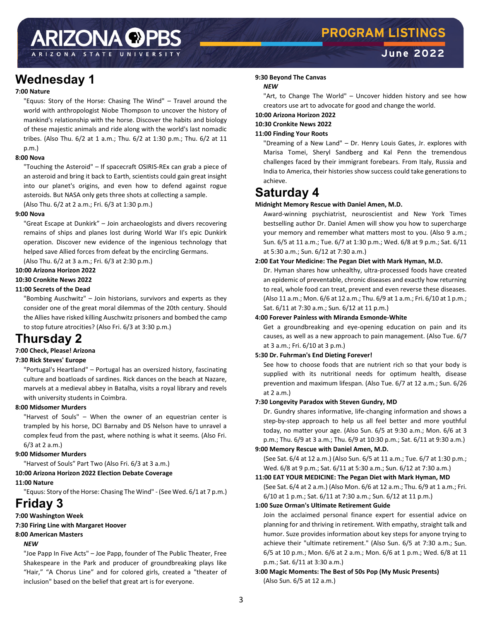ARIZONA STATE UNIVERS

## **Wednesday 1**

#### **7:00 Nature**

"Equus: Story of the Horse: Chasing The Wind" – Travel around the world with anthropologist Niobe Thompson to uncover the history of mankind's relationship with the horse. Discover the habits and biology of these majestic animals and ride along with the world's last nomadic tribes. (Also Thu. 6/2 at 1 a.m.; Thu. 6/2 at 1:30 p.m.; Thu. 6/2 at 11 p.m.)

#### **8:00 Nova**

"Touching the Asteroid" – If spacecraft OSIRIS-REx can grab a piece of an asteroid and bring it back to Earth, scientists could gain great insight into our planet's origins, and even how to defend against rogue asteroids. But NASA only gets three shots at collecting a sample.

(Also Thu. 6/2 at 2 a.m.; Fri. 6/3 at 1:30 p.m.)

#### **9:00 Nova**

"Great Escape at Dunkirk" – Join archaeologists and divers recovering remains of ships and planes lost during World War II's epic Dunkirk operation. Discover new evidence of the ingenious technology that helped save Allied forces from defeat by the encircling Germans.

(Also Thu. 6/2 at 3 a.m.; Fri. 6/3 at 2:30 p.m.)

#### **10:00 Arizona Horizon 2022**

**10:30 Cronkite News 2022** 

#### **11:00 Secrets of the Dead**

"Bombing Auschwitz" – Join historians, survivors and experts as they consider one of the great moral dilemmas of the 20th century. Should the Allies have risked killing Auschwitz prisoners and bombed the camp to stop future atrocities? (Also Fri. 6/3 at 3:30 p.m.)

## **Thursday 2**

#### **7:00 Check, Please! Arizona**

#### **7:30 Rick Steves' Europe**

"Portugal's Heartland" – Portugal has an oversized history, fascinating culture and boatloads of sardines. Rick dances on the beach at Nazare, marvels at a medieval abbey in Batalha, visits a royal library and revels with university students in Coimbra.

#### **8:00 Midsomer Murders**

"Harvest of Souls" – When the owner of an equestrian center is trampled by his horse, DCI Barnaby and DS Nelson have to unravel a complex feud from the past, where nothing is what it seems. (Also Fri. 6/3 at 2 a.m.)

#### **9:00 Midsomer Murders**

"Harvest of Souls" Part Two (Also Fri. 6/3 at 3 a.m.) **10:00 Arizona Horizon 2022 Election Debate Coverage** 

#### **11:00 Nature**

"Equus: Story of the Horse: Chasing The Wind" - (See Wed. 6/1 at 7 p.m.)

### **Friday 3**

#### **7:00 Washington Week**

**7:30 Firing Line with Margaret Hoover** 

#### **8:00 American Masters**

#### *NEW*

"Joe Papp In Five Acts" – Joe Papp, founder of The Public Theater, Free Shakespeare in the Park and producer of groundbreaking plays like "Hair," "A Chorus Line" and for colored girls, created a "theater of inclusion" based on the belief that great art is for everyone.

#### **9:30 Beyond The Canvas**

#### *NEW*

"Art, to Change The World" – Uncover hidden history and see how creators use art to advocate for good and change the world.

#### **10:00 Arizona Horizon 2022**

#### **10:30 Cronkite News 2022**

#### **11:00 Finding Your Roots**

"Dreaming of a New Land" – Dr. Henry Louis Gates, Jr. explores with Marisa Tomei, Sheryl Sandberg and Kal Penn the tremendous challenges faced by their immigrant forebears. From Italy, Russia and India to America, their histories show success could take generations to achieve.

## **Saturday 4**

#### **Midnight Memory Rescue with Daniel Amen, M.D.**

Award-winning psychiatrist, neuroscientist and New York Times bestselling author Dr. Daniel Amen will show you how to supercharge your memory and remember what matters most to you. (Also 9 a.m.; Sun. 6/5 at 11 a.m.; Tue. 6/7 at 1:30 p.m.; Wed. 6/8 at 9 p.m.; Sat. 6/11 at 5:30 a.m.; Sun. 6/12 at 7:30 a.m.)

#### **2:00 Eat Your Medicine: The Pegan Diet with Mark Hyman, M.D.**

Dr. Hyman shares how unhealthy, ultra-processed foods have created an epidemic of preventable, chronic diseases and exactly how returning to real, whole food can treat, prevent and even reverse these diseases. (Also 11 a.m.; Mon. 6/6 at 12 a.m.; Thu. 6/9 at 1 a.m.; Fri. 6/10 at 1 p.m.; Sat. 6/11 at 7:30 a.m.; Sun. 6/12 at 11 p.m.)

#### **4:00 Forever Painless with Miranda Esmonde-White**

Get a groundbreaking and eye-opening education on pain and its causes, as well as a new approach to pain management. (Also Tue. 6/7 at 3 a.m.; Fri. 6/10 at 3 p.m.)

#### **5:30 Dr. Fuhrman's End Dieting Forever!**

See how to choose foods that are nutrient rich so that your body is supplied with its nutritional needs for optimum health, disease prevention and maximum lifespan. (Also Tue. 6/7 at 12 a.m.; Sun. 6/26 at 2 a.m.)

#### **7:30 Longevity Paradox with Steven Gundry, MD**

Dr. Gundry shares informative, life-changing information and shows a step-by-step approach to help us all feel better and more youthful today, no matter your age. (Also Sun. 6/5 at 9:30 a.m.; Mon. 6/6 at 3 p.m.; Thu. 6/9 at 3 a.m.; Thu. 6/9 at 10:30 p.m.; Sat. 6/11 at 9:30 a.m.)

#### **9:00 Memory Rescue with Daniel Amen, M.D.**

(See Sat. 6/4 at 12 a.m.) (Also Sun. 6/5 at 11 a.m.; Tue. 6/7 at 1:30 p.m.; Wed. 6/8 at 9 p.m.; Sat. 6/11 at 5:30 a.m.; Sun. 6/12 at 7:30 a.m.)

#### **11:00 EAT YOUR MEDICINE: The Pegan Diet with Mark Hyman, MD**

(See Sat. 6/4 at 2 a.m.) (Also Mon. 6/6 at 12 a.m.; Thu. 6/9 at 1 a.m.; Fri. 6/10 at 1 p.m.; Sat. 6/11 at 7:30 a.m.; Sun. 6/12 at 11 p.m.)

#### **1:00 Suze Orman's Ultimate Retirement Guide**

Join the acclaimed personal finance expert for essential advice on planning for and thriving in retirement. With empathy, straight talk and humor. Suze provides information about key steps for anyone trying to achieve their "ultimate retirement." (Also Sun. 6/5 at 7:30 a.m.; Sun. 6/5 at 10 p.m.; Mon. 6/6 at 2 a.m.; Mon. 6/6 at 1 p.m.; Wed. 6/8 at 11 p.m.; Sat. 6/11 at 3:30 a.m.)

#### **3:00 Magic Moments: The Best of 50s Pop (My Music Presents)**  (Also Sun. 6/5 at 12 a.m.)

## **PROGRAM LISTINGS**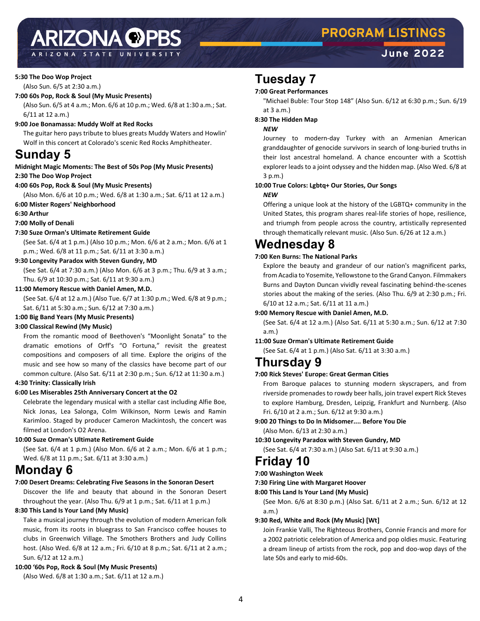ARIZONA STATE

## **PROGRAM LISTINGS**

### **June 2022**

#### **5:30 The Doo Wop Project**

(Also Sun. 6/5 at 2:30 a.m.)

#### **7:00 60s Pop, Rock & Soul (My Music Presents)**

(Also Sun. 6/5 at 4 a.m.; Mon. 6/6 at 10 p.m.; Wed. 6/8 at 1:30 a.m.; Sat. 6/11 at 12 a.m.)

#### **9:00 Joe Bonamassa: Muddy Wolf at Red Rocks**

The guitar hero pays tribute to blues greats Muddy Waters and Howlin' Wolf in this concert at Colorado's scenic Red Rocks Amphitheater.

## **Sunday 5**

#### **Midnight Magic Moments: The Best of 50s Pop (My Music Presents) 2:30 The Doo Wop Project**

#### **4:00 60s Pop, Rock & Soul (My Music Presents)**

(Also Mon. 6/6 at 10 p.m.; Wed. 6/8 at 1:30 a.m.; Sat. 6/11 at 12 a.m.)

#### **6:00 Mister Rogers' Neighborhood**

#### **6:30 Arthur**

**7:00 Molly of Denali** 

#### **7:30 Suze Orman's Ultimate Retirement Guide**

(See Sat. 6/4 at 1 p.m.) (Also 10 p.m.; Mon. 6/6 at 2 a.m.; Mon. 6/6 at 1 p.m.; Wed. 6/8 at 11 p.m.; Sat. 6/11 at 3:30 a.m.)

#### **9:30 Longevity Paradox with Steven Gundry, MD**

(See Sat. 6/4 at 7:30 a.m.) (Also Mon. 6/6 at 3 p.m.; Thu. 6/9 at 3 a.m.; Thu. 6/9 at 10:30 p.m.; Sat. 6/11 at 9:30 a.m.)

#### **11:00 Memory Rescue with Daniel Amen, M.D.**

(See Sat. 6/4 at 12 a.m.) (Also Tue. 6/7 at 1:30 p.m.; Wed. 6/8 at 9 p.m.; Sat. 6/11 at 5:30 a.m.; Sun. 6/12 at 7:30 a.m.)

#### **1:00 Big Band Years (My Music Presents)**

#### **3:00 Classical Rewind (My Music)**

From the romantic mood of Beethoven's "Moonlight Sonata" to the dramatic emotions of Orff's "O Fortuna," revisit the greatest compositions and composers of all time. Explore the origins of the music and see how so many of the classics have become part of our common culture. (Also Sat. 6/11 at 2:30 p.m.; Sun. 6/12 at 11:30 a.m.)

#### **4:30 Trinity: Classically Irish**

#### **6:00 Les Miserables 25th Anniversary Concert at the O2**

Celebrate the legendary musical with a stellar cast including Alfie Boe, Nick Jonas, Lea Salonga, Colm Wilkinson, Norm Lewis and Ramin Karimloo. Staged by producer Cameron Mackintosh, the concert was filmed at London's O2 Arena.

#### **10:00 Suze Orman's Ultimate Retirement Guide**

(See Sat. 6/4 at 1 p.m.) (Also Mon. 6/6 at 2 a.m.; Mon. 6/6 at 1 p.m.; Wed. 6/8 at 11 p.m.; Sat. 6/11 at 3:30 a.m.)

## **Monday 6**

#### **7:00 Desert Dreams: Celebrating Five Seasons in the Sonoran Desert**

Discover the life and beauty that abound in the Sonoran Desert throughout the year. (Also Thu. 6/9 at 1 p.m.; Sat. 6/11 at 1 p.m.)

#### **8:30 This Land Is Your Land (My Music)**

Take a musical journey through the evolution of modern American folk music, from its roots in bluegrass to San Francisco coffee houses to clubs in Greenwich Village. The Smothers Brothers and Judy Collins host. (Also Wed. 6/8 at 12 a.m.; Fri. 6/10 at 8 p.m.; Sat. 6/11 at 2 a.m.; Sun. 6/12 at 12 a.m.)

#### **10:00 '60s Pop, Rock & Soul (My Music Presents)**

(Also Wed. 6/8 at 1:30 a.m.; Sat. 6/11 at 12 a.m.)

## **Tuesday 7**

#### **7:00 Great Performances**

"Michael Buble: Tour Stop 148" (Also Sun. 6/12 at 6:30 p.m.; Sun. 6/19 at  $3a$  m $)$ 

#### **8:30 The Hidden Map**

#### *NEW*

Journey to modern-day Turkey with an Armenian American granddaughter of genocide survivors in search of long-buried truths in their lost ancestral homeland. A chance encounter with a Scottish explorer leads to a joint odyssey and the hidden map. (Also Wed. 6/8 at  $3 \nmid m$ )

#### **10:00 True Colors: Lgbtq+ Our Stories, Our Songs**  *NEW*

Offering a unique look at the history of the LGBTQ+ community in the United States, this program shares real-life stories of hope, resilience, and triumph from people across the country, artistically represented through thematically relevant music. (Also Sun. 6/26 at 12 a.m.)

## **Wednesday 8**

#### **7:00 Ken Burns: The National Parks**

Explore the beauty and grandeur of our nation's magnificent parks, from Acadia to Yosemite, Yellowstone to the Grand Canyon. Filmmakers Burns and Dayton Duncan vividly reveal fascinating behind-the-scenes stories about the making of the series. (Also Thu. 6/9 at 2:30 p.m.; Fri. 6/10 at 12 a.m.; Sat. 6/11 at 11 a.m.)

#### **9:00 Memory Rescue with Daniel Amen, M.D.**

(See Sat. 6/4 at 12 a.m.) (Also Sat. 6/11 at 5:30 a.m.; Sun. 6/12 at 7:30 a.m.)

#### **11:00 Suze Orman's Ultimate Retirement Guide**

(See Sat. 6/4 at 1 p.m.) (Also Sat. 6/11 at 3:30 a.m.)

## **Thursday 9**

#### **7:00 Rick Steves' Europe: Great German Cities**

From Baroque palaces to stunning modern skyscrapers, and from riverside promenades to rowdy beer halls, join travel expert Rick Steves to explore Hamburg, Dresden, Leipzig, Frankfurt and Nurnberg. (Also Fri. 6/10 at 2 a.m.; Sun. 6/12 at 9:30 a.m.)

#### **9:00 20 Things to Do In Midsomer.... Before You Die**  (Also Mon. 6/13 at 2:30 a.m.)

**10:30 Longevity Paradox with Steven Gundry, MD** 

(See Sat. 6/4 at 7:30 a.m.) (Also Sat. 6/11 at 9:30 a.m.)

## **Friday 10**

#### **7:00 Washington Week**

- **7:30 Firing Line with Margaret Hoover**
- **8:00 This Land Is Your Land (My Music)**

(See Mon. 6/6 at 8:30 p.m.) (Also Sat. 6/11 at 2 a.m.; Sun. 6/12 at 12 a.m.)

#### **9:30 Red, White and Rock (My Music) [Wt]**

Join Frankie Valli, The Righteous Brothers, Connie Francis and more for a 2002 patriotic celebration of America and pop oldies music. Featuring a dream lineup of artists from the rock, pop and doo-wop days of the late 50s and early to mid-60s.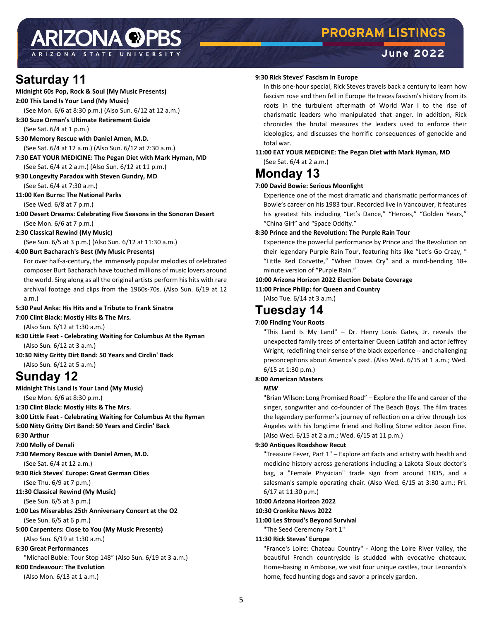ARIZONA STATE UNIVERS

## **Saturday 11**

#### **Midnight 60s Pop, Rock & Soul (My Music Presents) 2:00 This Land Is Your Land (My Music)**

(See Mon. 6/6 at 8:30 p.m.) (Also Sun. 6/12 at 12 a.m.) **3:30 Suze Orman's Ultimate Retirement Guide** 

- (See Sat. 6/4 at 1 p.m.)
- **5:30 Memory Rescue with Daniel Amen, M.D.**  (See Sat. 6/4 at 12 a.m.) (Also Sun. 6/12 at 7:30 a.m.)
- **7:30 EAT YOUR MEDICINE: The Pegan Diet with Mark Hyman, MD**  (See Sat. 6/4 at 2 a.m.) (Also Sun. 6/12 at 11 p.m.)

## **9:30 Longevity Paradox with Steven Gundry, MD**

(See Sat. 6/4 at 7:30 a.m.)

**11:00 Ken Burns: The National Parks** 

(See Wed. 6/8 at 7 p.m.)

**1:00 Desert Dreams: Celebrating Five Seasons in the Sonoran Desert**  (See Mon. 6/6 at 7 p.m.)

#### **2:30 Classical Rewind (My Music)**

(See Sun. 6/5 at 3 p.m.) (Also Sun. 6/12 at 11:30 a.m.)

#### **4:00 Burt Bacharach's Best (My Music Presents)**

For over half-a-century, the immensely popular melodies of celebrated composer Burt Bacharach have touched millions of music lovers around the world. Sing along as all the original artists perform his hits with rare archival footage and clips from the 1960s-70s. (Also Sun. 6/19 at 12 a.m.)

### **5:30 Paul Anka: His Hits and a Tribute to Frank Sinatra**

**7:00 Clint Black: Mostly Hits & The Mrs.** 

(Also Sun. 6/12 at 1:30 a.m.)

**8:30 Little Feat - Celebrating Waiting for Columbus At the Ryman**  (Also Sun. 6/12 at 3 a.m.) **10:30 Nitty Gritty Dirt Band: 50 Years and Circlin' Back** 

(Also Sun. 6/12 at 5 a.m.)

## **Sunday 12**

**Midnight This Land Is Your Land (My Music)** 

(See Mon. 6/6 at 8:30 p.m.)

**1:30 Clint Black: Mostly Hits & The Mrs.** 

**3:00 Little Feat - Celebrating Waiting for Columbus At the Ryman 5:00 Nitty Gritty Dirt Band: 50 Years and Circlin' Back** 

**6:30 Arthur** 

**7:00 Molly of Denali** 

**7:30 Memory Rescue with Daniel Amen, M.D.** 

(See Sat. 6/4 at 12 a.m.)

**9:30 Rick Steves' Europe: Great German Cities**  (See Thu. 6/9 at 7 p.m.)

**11:30 Classical Rewind (My Music)** 

(See Sun. 6/5 at 3 p.m.)

**1:00 Les Miserables 25th Anniversary Concert at the O2**  (See Sun. 6/5 at 6 p.m.)

**5:00 Carpenters: Close to You (My Music Presents)** 

(Also Sun. 6/19 at 1:30 a.m.)

### **6:30 Great Performances**

"Michael Buble: Tour Stop 148" (Also Sun. 6/19 at 3 a.m.)

**8:00 Endeavour: The Evolution** 

(Also Mon. 6/13 at 1 a.m.)

#### **9:30 Rick Steves' Fascism In Europe**

In this one-hour special, Rick Steves travels back a century to learn how fascism rose and then fell in Europe He traces fascism's history from its roots in the turbulent aftermath of World War I to the rise of charismatic leaders who manipulated that anger. In addition, Rick chronicles the brutal measures the leaders used to enforce their ideologies, and discusses the horrific consequences of genocide and total war.

### **11:00 EAT YOUR MEDICINE: The Pegan Diet with Mark Hyman, MD**

(See Sat. 6/4 at 2 a.m.)

## **Monday 13**

#### **7:00 David Bowie: Serious Moonlight**

Experience one of the most dramatic and charismatic performances of Bowie's career on his 1983 tour. Recorded live in Vancouver, it features his greatest hits including "Let's Dance," "Heroes," "Golden Years," "China Girl" and "Space Oddity."

#### **8:30 Prince and the Revolution: The Purple Rain Tour**

Experience the powerful performance by Prince and The Revolution on their legendary Purple Rain Tour, featuring hits like "Let's Go Crazy, " "Little Red Corvette," "When Doves Cry" and a mind-bending 18+ minute version of "Purple Rain."

#### **10:00 Arizona Horizon 2022 Election Debate Coverage**

**11:00 Prince Philip: for Queen and Country** 

(Also Tue. 6/14 at 3 a.m.)

## **Tuesday 14**

#### **7:00 Finding Your Roots**

"This Land Is My Land" – Dr. Henry Louis Gates, Jr. reveals the unexpected family trees of entertainer Queen Latifah and actor Jeffrey Wright, redefining their sense of the black experience -- and challenging preconceptions about America's past. (Also Wed. 6/15 at 1 a.m.; Wed. 6/15 at 1:30 p.m.)

#### **8:00 American Masters**

#### *NEW*

"Brian Wilson: Long Promised Road" – Explore the life and career of the singer, songwriter and co-founder of The Beach Boys. The film traces the legendary performer's journey of reflection on a drive through Los Angeles with his longtime friend and Rolling Stone editor Jason Fine. (Also Wed. 6/15 at 2 a.m.; Wed. 6/15 at 11 p.m.)

#### **9:30 Antiques Roadshow Recut**

"Treasure Fever, Part 1" – Explore artifacts and artistry with health and medicine history across generations including a Lakota Sioux doctor's bag, a "Female Physician" trade sign from around 1835, and a salesman's sample operating chair. (Also Wed. 6/15 at 3:30 a.m.; Fri. 6/17 at 11:30 p.m.)

#### **10:00 Arizona Horizon 2022**

**10:30 Cronkite News 2022** 

- **11:00 Les Stroud's Beyond Survival**
- "The Seed Ceremony Part 1"

#### **11:30 Rick Steves' Europe**

"France's Loire: Chateau Country" - Along the Loire River Valley, the beautiful French countryside is studded with evocative chateaux. Home-basing in Amboise, we visit four unique castles, tour Leonardo's home, feed hunting dogs and savor a princely garden.

## **PROGRAM LISTINGS**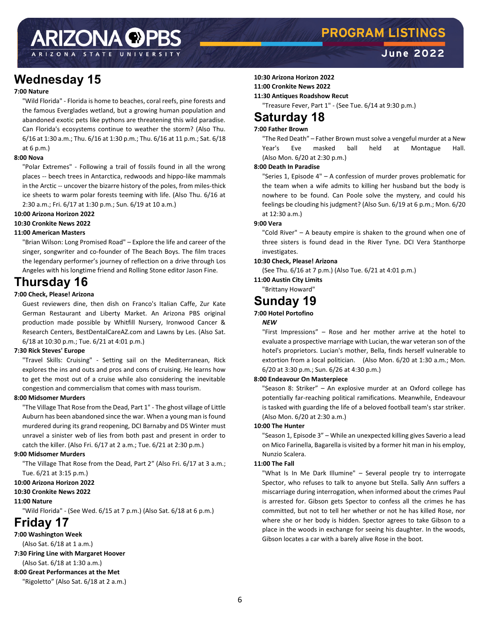ARIZONA STATE UNIVERS

## **Wednesday 15**

#### **7:00 Nature**

"Wild Florida" - Florida is home to beaches, coral reefs, pine forests and the famous Everglades wetland, but a growing human population and abandoned exotic pets like pythons are threatening this wild paradise. Can Florida's ecosystems continue to weather the storm? (Also Thu. 6/16 at 1:30 a.m.; Thu. 6/16 at 1:30 p.m.; Thu. 6/16 at 11 p.m.; Sat. 6/18 at 6 p.m.)

#### **8:00 Nova**

"Polar Extremes" - Following a trail of fossils found in all the wrong places -- beech trees in Antarctica, redwoods and hippo-like mammals in the Arctic -- uncover the bizarre history of the poles, from miles-thick ice sheets to warm polar forests teeming with life. (Also Thu. 6/16 at 2:30 a.m.; Fri. 6/17 at 1:30 p.m.; Sun. 6/19 at 10 a.m.)

#### **10:00 Arizona Horizon 2022**

#### **10:30 Cronkite News 2022**

#### **11:00 American Masters**

"Brian Wilson: Long Promised Road" – Explore the life and career of the singer, songwriter and co-founder of The Beach Boys. The film traces the legendary performer's journey of reflection on a drive through Los Angeles with his longtime friend and Rolling Stone editor Jason Fine.

## **Thursday 16**

#### **7:00 Check, Please! Arizona**

Guest reviewers dine, then dish on Franco's Italian Caffe, Zur Kate German Restaurant and Liberty Market. An Arizona PBS original production made possible by Whitfill Nursery, Ironwood Cancer & Research Centers, BestDentalCareAZ.com and Lawns by Les. (Also Sat. 6/18 at 10:30 p.m.; Tue. 6/21 at 4:01 p.m.)

#### **7:30 Rick Steves' Europe**

"Travel Skills: Cruising" - Setting sail on the Mediterranean, Rick explores the ins and outs and pros and cons of cruising. He learns how to get the most out of a cruise while also considering the inevitable congestion and commercialism that comes with mass tourism.

#### **8:00 Midsomer Murders**

"The Village That Rose from the Dead, Part 1" - The ghost village of Little Auburn has been abandoned since the war. When a young man is found murdered during its grand reopening, DCI Barnaby and DS Winter must unravel a sinister web of lies from both past and present in order to catch the killer. (Also Fri. 6/17 at 2 a.m.; Tue. 6/21 at 2:30 p.m.)

#### **9:00 Midsomer Murders**

"The Village That Rose from the Dead, Part 2" (Also Fri. 6/17 at 3 a.m.; Tue. 6/21 at 3:15 p.m.)

#### **10:00 Arizona Horizon 2022**

#### **10:30 Cronkite News 2022**

#### **11:00 Nature**

"Wild Florida" - (See Wed. 6/15 at 7 p.m.) (Also Sat. 6/18 at 6 p.m.)

## **Friday 17**

**7:00 Washington Week** 

#### (Also Sat. 6/18 at 1 a.m.)

#### **7:30 Firing Line with Margaret Hoover**

(Also Sat. 6/18 at 1:30 a.m.)

#### **8:00 Great Performances at the Met**

"Rigoletto" (Also Sat. 6/18 at 2 a.m.)

## **PROGRAM LISTINGS**

## **June 2022**

#### **10:30 Arizona Horizon 2022**

#### **11:00 Cronkite News 2022**

**11:30 Antiques Roadshow Recut** 

"Treasure Fever, Part 1" - (See Tue. 6/14 at 9:30 p.m.)

## **Saturday 18**

#### **7:00 Father Brown**

"The Red Death" – Father Brown must solve a vengeful murder at a New Year's Eve masked ball held at Montague Hall. (Also Mon. 6/20 at 2:30 p.m.)

#### **8:00 Death In Paradise**

"Series 1, Episode 4" – A confession of murder proves problematic for the team when a wife admits to killing her husband but the body is nowhere to be found. Can Poole solve the mystery, and could his feelings be clouding his judgment? (Also Sun. 6/19 at 6 p.m.; Mon. 6/20 at 12:30 a.m.)

#### **9:00 Vera**

"Cold River" – A beauty empire is shaken to the ground when one of three sisters is found dead in the River Tyne. DCI Vera Stanthorpe investigates.

#### **10:30 Check, Please! Arizona**

(See Thu. 6/16 at 7 p.m.) (Also Tue. 6/21 at 4:01 p.m.)

#### **11:00 Austin City Limits**

"Brittany Howard"

### **Sunday 19**

#### **7:00 Hotel Portofino**

#### *NEW*

"First Impressions" – Rose and her mother arrive at the hotel to evaluate a prospective marriage with Lucian, the war veteran son of the hotel's proprietors. Lucian's mother, Bella, finds herself vulnerable to extortion from a local politician. (Also Mon. 6/20 at 1:30 a.m.; Mon. 6/20 at 3:30 p.m.; Sun. 6/26 at 4:30 p.m.)

#### **8:00 Endeavour On Masterpiece**

"Season 8: Striker" – An explosive murder at an Oxford college has potentially far-reaching political ramifications. Meanwhile, Endeavour is tasked with guarding the life of a beloved football team's star striker. (Also Mon. 6/20 at 2:30 a.m.)

#### **10:00 The Hunter**

"Season 1, Episode 3" – While an unexpected killing gives Saverio a lead on Mico Farinella, Bagarella is visited by a former hit man in his employ, Nunzio Scalera.

#### **11:00 The Fall**

"What Is In Me Dark Illumine" – Several people try to interrogate Spector, who refuses to talk to anyone but Stella. Sally Ann suffers a miscarriage during interrogation, when informed about the crimes Paul is arrested for. Gibson gets Spector to confess all the crimes he has committed, but not to tell her whether or not he has killed Rose, nor where she or her body is hidden. Spector agrees to take Gibson to a place in the woods in exchange for seeing his daughter. In the woods, Gibson locates a car with a barely alive Rose in the boot.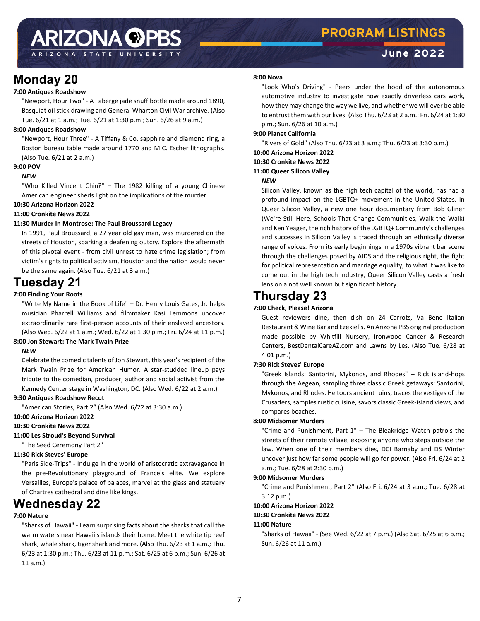ARIZONA STATE UNIVERS

## **Monday 20**

#### **7:00 Antiques Roadshow**

"Newport, Hour Two" - A Faberge jade snuff bottle made around 1890, Basquiat oil stick drawing and General Wharton Civil War archive. (Also Tue. 6/21 at 1 a.m.; Tue. 6/21 at 1:30 p.m.; Sun. 6/26 at 9 a.m.)

#### **8:00 Antiques Roadshow**

"Newport, Hour Three" - A Tiffany & Co. sapphire and diamond ring, a Boston bureau table made around 1770 and M.C. Escher lithographs. (Also Tue. 6/21 at 2 a.m.)

#### **9:00 POV**

#### *NEW*

"Who Killed Vincent Chin?" – The 1982 killing of a young Chinese American engineer sheds light on the implications of the murder.

#### **10:30 Arizona Horizon 2022**

#### **11:00 Cronkite News 2022**

#### **11:30 Murder In Montrose: The Paul Broussard Legacy**

In 1991, Paul Broussard, a 27 year old gay man, was murdered on the streets of Houston, sparking a deafening outcry. Explore the aftermath of this pivotal event - from civil unrest to hate crime legislation; from victim's rights to political activism, Houston and the nation would never be the same again. (Also Tue. 6/21 at 3 a.m.)

### **Tuesday 21**

#### **7:00 Finding Your Roots**

"Write My Name in the Book of Life" – Dr. Henry Louis Gates, Jr. helps musician Pharrell Williams and filmmaker Kasi Lemmons uncover extraordinarily rare first-person accounts of their enslaved ancestors. (Also Wed. 6/22 at 1 a.m.; Wed. 6/22 at 1:30 p.m.; Fri. 6/24 at 11 p.m.)

#### **8:00 Jon Stewart: The Mark Twain Prize**

#### *NEW*

Celebrate the comedic talents of Jon Stewart, this year's recipient of the Mark Twain Prize for American Humor. A star-studded lineup pays tribute to the comedian, producer, author and social activist from the Kennedy Center stage in Washington, DC. (Also Wed. 6/22 at 2 a.m.)

#### **9:30 Antiques Roadshow Recut**

"American Stories, Part 2" (Also Wed. 6/22 at 3:30 a.m.)

**10:00 Arizona Horizon 2022** 

#### **10:30 Cronkite News 2022**

#### **11:00 Les Stroud's Beyond Survival**

"The Seed Ceremony Part 2"

#### **11:30 Rick Steves' Europe**

"Paris Side-Trips" - Indulge in the world of aristocratic extravagance in the pre-Revolutionary playground of France's elite. We explore Versailles, Europe's palace of palaces, marvel at the glass and statuary of Chartres cathedral and dine like kings.

## **Wednesday 22**

#### **7:00 Nature**

"Sharks of Hawaii" - Learn surprising facts about the sharks that call the warm waters near Hawaii's islands their home. Meet the white tip reef shark, whale shark, tiger shark and more. (Also Thu. 6/23 at 1 a.m.; Thu. 6/23 at 1:30 p.m.; Thu. 6/23 at 11 p.m.; Sat. 6/25 at 6 p.m.; Sun. 6/26 at 11 a.m.)

#### **8:00 Nova**

"Look Who's Driving" - Peers under the hood of the autonomous automotive industry to investigate how exactly driverless cars work, how they may change the way we live, and whether we will ever be able to entrust them with our lives. (Also Thu. 6/23 at 2 a.m.; Fri. 6/24 at 1:30 p.m.; Sun. 6/26 at 10 a.m.)

#### **9:00 Planet California**

"Rivers of Gold" (Also Thu. 6/23 at 3 a.m.; Thu. 6/23 at 3:30 p.m.)

#### **10:00 Arizona Horizon 2022**

#### **10:30 Cronkite News 2022**

#### **11:00 Queer Silicon Valley**

#### *NEW*

Silicon Valley, known as the high tech capital of the world, has had a profound impact on the LGBTQ+ movement in the United States. In Queer Silicon Valley, a new one hour documentary from Bob Gliner (We're Still Here, Schools That Change Communities, Walk the Walk) and Ken Yeager, the rich history of the LGBTQ+ Community's challenges and successes in Silicon Valley is traced through an ethnically diverse range of voices. From its early beginnings in a 1970s vibrant bar scene through the challenges posed by AIDS and the religious right, the fight for political representation and marriage equality, to what it was like to come out in the high tech industry, Queer Silicon Valley casts a fresh lens on a not well known but significant history.

## **Thursday 23**

#### **7:00 Check, Please! Arizona**

Guest reviewers dine, then dish on 24 Carrots, Va Bene Italian Restaurant & Wine Bar and Ezekiel's. An Arizona PBS original production made possible by Whitfill Nursery, Ironwood Cancer & Research Centers, BestDentalCareAZ.com and Lawns by Les. (Also Tue. 6/28 at 4:01 p.m.)

#### **7:30 Rick Steves' Europe**

"Greek Islands: Santorini, Mykonos, and Rhodes" – Rick island-hops through the Aegean, sampling three classic Greek getaways: Santorini, Mykonos, and Rhodes. He tours ancient ruins, traces the vestiges of the Crusaders, samples rustic cuisine, savors classic Greek-island views, and compares beaches.

#### **8:00 Midsomer Murders**

"Crime and Punishment, Part 1" – The Bleakridge Watch patrols the streets of their remote village, exposing anyone who steps outside the law. When one of their members dies, DCI Barnaby and DS Winter uncover just how far some people will go for power. (Also Fri. 6/24 at 2 a.m.; Tue. 6/28 at 2:30 p.m.)

#### **9:00 Midsomer Murders**

"Crime and Punishment, Part 2" (Also Fri. 6/24 at 3 a.m.; Tue. 6/28 at 3:12 p.m.)

#### **10:00 Arizona Horizon 2022**

#### **10:30 Cronkite News 2022**

#### **11:00 Nature**

"Sharks of Hawaii" - (See Wed. 6/22 at 7 p.m.) (Also Sat. 6/25 at 6 p.m.; Sun. 6/26 at 11 a.m.)

## **PROGRAM LISTINGS**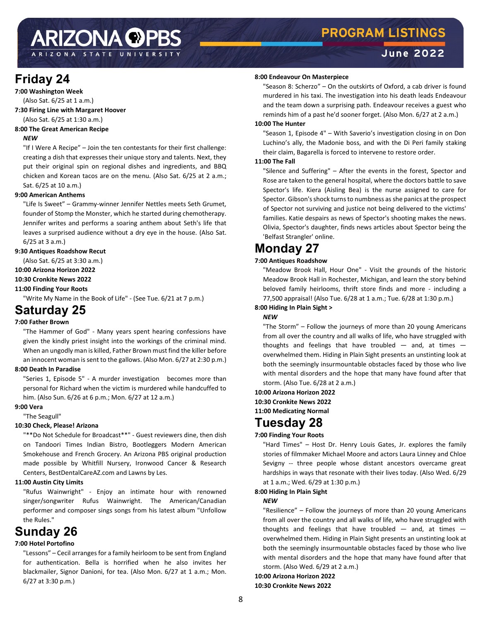ARIZONA STATE UNIVERS

## **Friday 24**

#### **7:00 Washington Week**

(Also Sat. 6/25 at 1 a.m.)

**7:30 Firing Line with Margaret Hoover** 

#### (Also Sat. 6/25 at 1:30 a.m.)

#### **8:00 The Great American Recipe**

#### *NEW*

"If I Were A Recipe" – Join the ten contestants for their first challenge: creating a dish that expresses their unique story and talents. Next, they put their original spin on regional dishes and ingredients, and BBQ chicken and Korean tacos are on the menu. (Also Sat. 6/25 at 2 a.m.; Sat. 6/25 at 10 a.m.)

#### **9:00 American Anthems**

"Life Is Sweet" – Grammy-winner Jennifer Nettles meets Seth Grumet, founder of Stomp the Monster, which he started during chemotherapy. Jennifer writes and performs a soaring anthem about Seth's life that leaves a surprised audience without a dry eye in the house. (Also Sat. 6/25 at 3 a.m.)

#### **9:30 Antiques Roadshow Recut**

(Also Sat. 6/25 at 3:30 a.m.)

#### **10:00 Arizona Horizon 2022**

**10:30 Cronkite News 2022** 

#### **11:00 Finding Your Roots**

"Write My Name in the Book of Life" - (See Tue. 6/21 at 7 p.m.)

### **Saturday 25**

#### **7:00 Father Brown**

"The Hammer of God" - Many years spent hearing confessions have given the kindly priest insight into the workings of the criminal mind. When an ungodly man is killed, Father Brown must find the killer before an innocent woman is sent to the gallows. (Also Mon. 6/27 at 2:30 p.m.)

#### **8:00 Death In Paradise**

"Series 1, Episode 5" - A murder investigation becomes more than personal for Richard when the victim is murdered while handcuffed to him. (Also Sun. 6/26 at 6 p.m.; Mon. 6/27 at 12 a.m.)

#### **9:00 Vera**

"The Seagull"

#### **10:30 Check, Please! Arizona**

"\*\*Do Not Schedule for Broadcast\*\*" - Guest reviewers dine, then dish on Tandoori Times Indian Bistro, Bootleggers Modern American Smokehouse and French Grocery. An Arizona PBS original production made possible by Whitfill Nursery, Ironwood Cancer & Research Centers, BestDentalCareAZ.com and Lawns by Les.

#### **11:00 Austin City Limits**

"Rufus Wainwright" - Enjoy an intimate hour with renowned singer/songwriter Rufus Wainwright. The American/Canadian performer and composer sings songs from his latest album "Unfollow the Rules."

## **Sunday 26**

#### **7:00 Hotel Portofino**

"Lessons" – Cecil arranges for a family heirloom to be sent from England for authentication. Bella is horrified when he also invites her blackmailer, Signor Danioni, for tea. (Also Mon. 6/27 at 1 a.m.; Mon. 6/27 at 3:30 p.m.)

#### **8:00 Endeavour On Masterpiece**

"Season 8: Scherzo" – On the outskirts of Oxford, a cab driver is found murdered in his taxi. The investigation into his death leads Endeavour and the team down a surprising path. Endeavour receives a guest who reminds him of a past he'd sooner forget. (Also Mon. 6/27 at 2 a.m.)

#### **10:00 The Hunter**

"Season 1, Episode 4" – With Saverio's investigation closing in on Don Luchino's ally, the Madonie boss, and with the Di Peri family staking their claim, Bagarella is forced to intervene to restore order.

#### **11:00 The Fall**

"Silence and Suffering" – After the events in the forest, Spector and Rose are taken to the general hospital, where the doctors battle to save Spector's life. Kiera (Aisling Bea) is the nurse assigned to care for Spector. Gibson's shock turns to numbness as she panics at the prospect of Spector not surviving and justice not being delivered to the victims' families. Katie despairs as news of Spector's shooting makes the news. Olivia, Spector's daughter, finds news articles about Spector being the 'Belfast Strangler' online.

## **Monday 27**

#### **7:00 Antiques Roadshow**

"Meadow Brook Hall, Hour One" - Visit the grounds of the historic Meadow Brook Hall in Rochester, Michigan, and learn the story behind beloved family heirlooms, thrift store finds and more - including a 77,500 appraisal! (Also Tue. 6/28 at 1 a.m.; Tue. 6/28 at 1:30 p.m.)

#### **8:00 Hiding In Plain Sight >**

#### *NEW*

"The Storm" – Follow the journeys of more than 20 young Americans from all over the country and all walks of life, who have struggled with thoughts and feelings that have troubled  $-$  and, at times  $$ overwhelmed them. Hiding in Plain Sight presents an unstinting look at both the seemingly insurmountable obstacles faced by those who live with mental disorders and the hope that many have found after that storm. (Also Tue. 6/28 at 2 a.m.)

**10:00 Arizona Horizon 2022 10:30 Cronkite News 2022 11:00 Medicating Normal** 

## **Tuesday 28**

#### **7:00 Finding Your Roots**

"Hard Times" – Host Dr. Henry Louis Gates, Jr. explores the family stories of filmmaker Michael Moore and actors Laura Linney and Chloe Sevigny -- three people whose distant ancestors overcame great hardships in ways that resonate with their lives today. (Also Wed. 6/29 at 1 a.m.; Wed. 6/29 at 1:30 p.m.)

**8:00 Hiding In Plain Sight**

#### *NEW*

"Resilience" – Follow the journeys of more than 20 young Americans from all over the country and all walks of life, who have struggled with thoughts and feelings that have troubled — and, at times overwhelmed them. Hiding in Plain Sight presents an unstinting look at both the seemingly insurmountable obstacles faced by those who live with mental disorders and the hope that many have found after that storm. (Also Wed. 6/29 at 2 a.m.)

**10:00 Arizona Horizon 2022 10:30 Cronkite News 2022** 

## **PROGRAM LISTINGS**